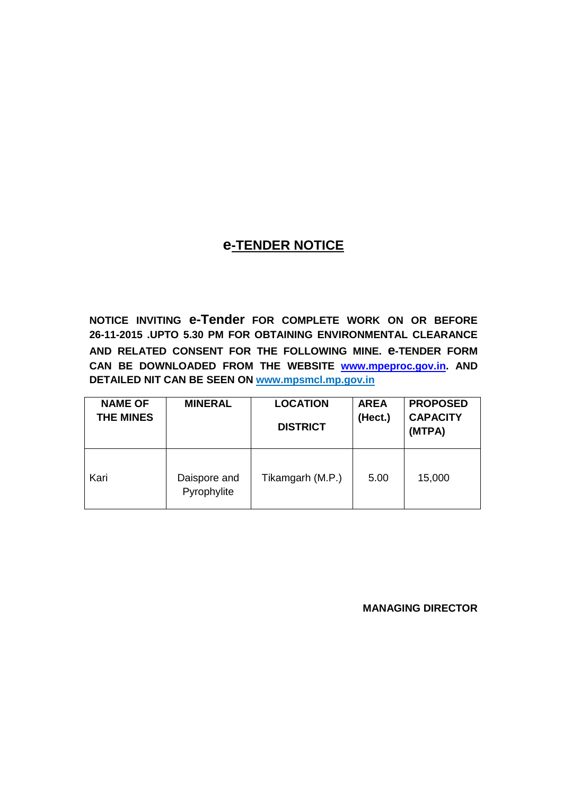## **e-TENDER NOTICE**

**NOTICE INVITING e-Tender FOR COMPLETE WORK ON OR BEFORE 26-11-2015 .UPTO 5.30 PM FOR OBTAINING ENVIRONMENTAL CLEARANCE AND RELATED CONSENT FOR THE FOLLOWING MINE. e-TENDER FORM CAN BE DOWNLOADED FROM THE WEBSITE [www.mpeproc.gov.in.](http://www.mpsmcl.com/) AND DETAILED NIT CAN BE SEEN ON www.mpsmcl.mp.gov.in** 

| <b>NAME OF</b><br><b>THE MINES</b> | <b>MINERAL</b>              | <b>LOCATION</b><br><b>DISTRICT</b> | <b>AREA</b><br>(Hect.) | <b>PROPOSED</b><br><b>CAPACITY</b><br>(MTPA) |
|------------------------------------|-----------------------------|------------------------------------|------------------------|----------------------------------------------|
| Kari                               | Daispore and<br>Pyrophylite | Tikamgarh (M.P.)                   | 5.00                   | 15,000                                       |

**MANAGING DIRECTOR**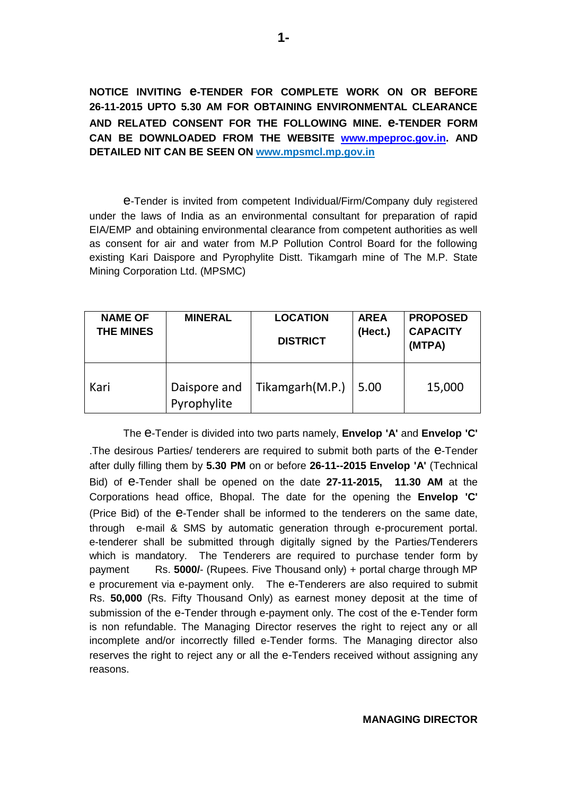**NOTICE INVITING e-TENDER FOR COMPLETE WORK ON OR BEFORE 26-11-2015 UPTO 5.30 AM FOR OBTAINING ENVIRONMENTAL CLEARANCE AND RELATED CONSENT FOR THE FOLLOWING MINE. e-TENDER FORM CAN BE DOWNLOADED FROM THE WEBSITE [www.mpeproc.gov.in.](http://www.mpsmcl.com/) AND DETAILED NIT CAN BE SEEN ON www.mpsmcl.mp.gov.in** 

e-Tender is invited from competent Individual/Firm/Company duly registered under the laws of India as an environmental consultant for preparation of rapid EIA/EMP and obtaining environmental clearance from competent authorities as well as consent for air and water from M.P Pollution Control Board for the following existing Kari Daispore and Pyrophylite Distt. Tikamgarh mine of The M.P. State Mining Corporation Ltd. (MPSMC)

| <b>NAME OF</b><br><b>THE MINES</b> | <b>MINERAL</b>              | <b>LOCATION</b><br><b>DISTRICT</b> | <b>AREA</b><br>(Hect.) | <b>PROPOSED</b><br><b>CAPACITY</b><br>(MTPA) |
|------------------------------------|-----------------------------|------------------------------------|------------------------|----------------------------------------------|
| Kari                               | Daispore and<br>Pyrophylite | Tikamgarh(M.P.)                    | 5.00                   | 15,000                                       |

The e-Tender is divided into two parts namely, **Envelop 'A'** and **Envelop 'C'** .The desirous Parties/ tenderers are required to submit both parts of the e-Tender after dully filling them by **5.30 PM** on or before **26-11--2015 Envelop 'A'** (Technical Bid) of e-Tender shall be opened on the date **27-11-2015, 11.30 AM** at the Corporations head office, Bhopal. The date for the opening the **Envelop 'C'** (Price Bid) of the e-Tender shall be informed to the tenderers on the same date, through e-mail & SMS by automatic generation through e-procurement portal. e-tenderer shall be submitted through digitally signed by the Parties/Tenderers which is mandatory. The Tenderers are required to purchase tender form by payment Rs. **5000/**- (Rupees. Five Thousand only) + portal charge through MP e procurement via e-payment only. The e-Tenderers are also required to submit Rs. **50,000** (Rs. Fifty Thousand Only) as earnest money deposit at the time of submission of the e-Tender through e-payment only. The cost of the e-Tender form is non refundable. The Managing Director reserves the right to reject any or all incomplete and/or incorrectly filled e-Tender forms. The Managing director also reserves the right to reject any or all the e-Tenders received without assigning any reasons.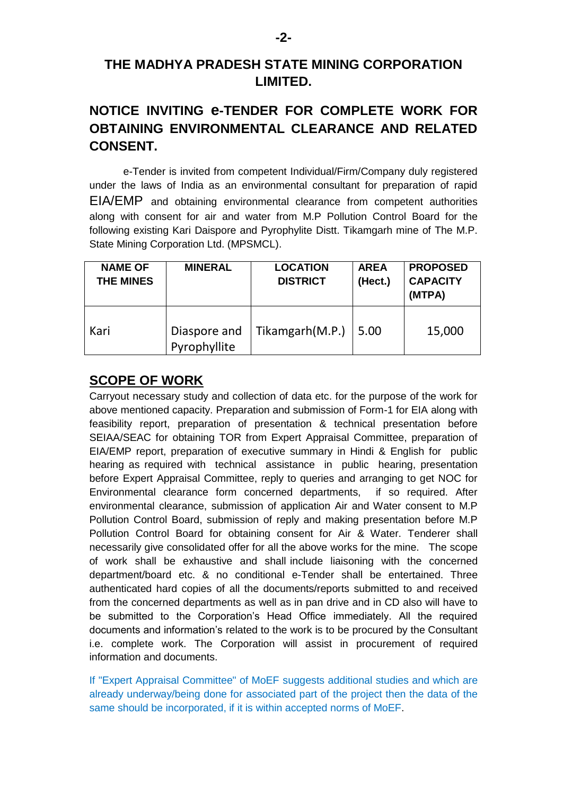## **THE MADHYA PRADESH STATE MINING CORPORATION LIMITED.**

# **NOTICE INVITING e-TENDER FOR COMPLETE WORK FOR OBTAINING ENVIRONMENTAL CLEARANCE AND RELATED CONSENT.**

e-Tender is invited from competent Individual/Firm/Company duly registered under the laws of India as an environmental consultant for preparation of rapid EIA/EMP and obtaining environmental clearance from competent authorities along with consent for air and water from M.P Pollution Control Board for the following existing Kari Daispore and Pyrophylite Distt. Tikamgarh mine of The M.P. State Mining Corporation Ltd. (MPSMCL).

| <b>NAME OF</b><br><b>THE MINES</b> | <b>MINERAL</b>               | <b>LOCATION</b><br><b>DISTRICT</b> | <b>AREA</b><br>(Hect.) | <b>PROPOSED</b><br><b>CAPACITY</b><br>(MTPA) |
|------------------------------------|------------------------------|------------------------------------|------------------------|----------------------------------------------|
| Kari                               | Diaspore and<br>Pyrophyllite | Tikamgarh(M.P.)                    | 5.00                   | 15,000                                       |

### **SCOPE OF WORK**

Carryout necessary study and collection of data etc. for the purpose of the work for above mentioned capacity. Preparation and submission of Form-1 for EIA along with feasibility report, preparation of presentation & technical presentation before SEIAA/SEAC for obtaining TOR from Expert Appraisal Committee, preparation of EIA/EMP report, preparation of executive summary in Hindi & English for public hearing as required with technical assistance in public hearing, presentation before Expert Appraisal Committee, reply to queries and arranging to get NOC for Environmental clearance form concerned departments, if so required. After environmental clearance, submission of application Air and Water consent to M.P Pollution Control Board, submission of reply and making presentation before M.P Pollution Control Board for obtaining consent for Air & Water. Tenderer shall necessarily give consolidated offer for all the above works for the mine. The scope of work shall be exhaustive and shall include liaisoning with the concerned department/board etc. & no conditional e-Tender shall be entertained. Three authenticated hard copies of all the documents/reports submitted to and received from the concerned departments as well as in pan drive and in CD also will have to be submitted to the Corporation's Head Office immediately. All the required documents and information"s related to the work is to be procured by the Consultant i.e. complete work. The Corporation will assist in procurement of required information and documents.

If "Expert Appraisal Committee" of MoEF suggests additional studies and which are already underway/being done for associated part of the project then the data of the same should be incorporated, if it is within accepted norms of MoEF.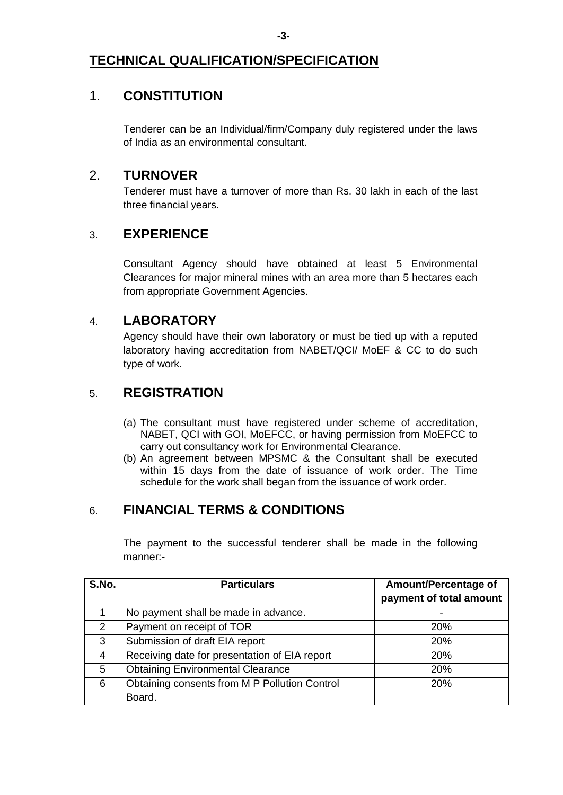# **TECHNICAL QUALIFICATION/SPECIFICATION**

# 1. **CONSTITUTION**

Tenderer can be an Individual/firm/Company duly registered under the laws of India as an environmental consultant.

## 2. **TURNOVER**

Tenderer must have a turnover of more than Rs. 30 lakh in each of the last three financial years.

## 3. **EXPERIENCE**

Consultant Agency should have obtained at least 5 Environmental Clearances for major mineral mines with an area more than 5 hectares each from appropriate Government Agencies.

## 4. **LABORATORY**

Agency should have their own laboratory or must be tied up with a reputed laboratory having accreditation from NABET/QCI/ MoEF & CC to do such type of work.

# 5. **REGISTRATION**

- (a) The consultant must have registered under scheme of accreditation, NABET, QCI with GOI, MoEFCC, or having permission from MoEFCC to carry out consultancy work for Environmental Clearance.
- (b) An agreement between MPSMC & the Consultant shall be executed within 15 days from the date of issuance of work order. The Time schedule for the work shall began from the issuance of work order.

# 6. **FINANCIAL TERMS & CONDITIONS**

The payment to the successful tenderer shall be made in the following manner:-

| S.No.          | <b>Particulars</b>                            | Amount/Percentage of<br>payment of total amount |
|----------------|-----------------------------------------------|-------------------------------------------------|
|                | No payment shall be made in advance.          |                                                 |
| $\overline{2}$ | Payment on receipt of TOR                     | <b>20%</b>                                      |
| 3              | Submission of draft EIA report                | <b>20%</b>                                      |
| 4              | Receiving date for presentation of EIA report | <b>20%</b>                                      |
| 5              | <b>Obtaining Environmental Clearance</b>      | <b>20%</b>                                      |
| 6              | Obtaining consents from M P Pollution Control | <b>20%</b>                                      |
|                | Board.                                        |                                                 |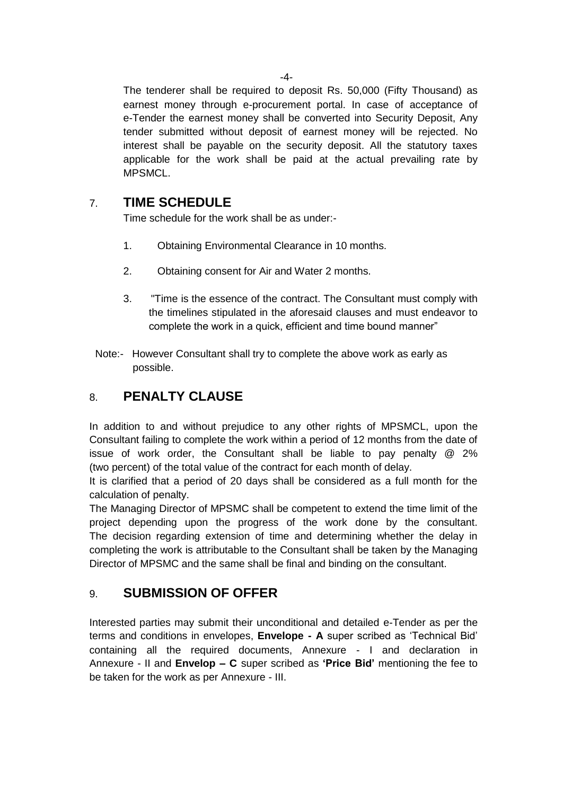The tenderer shall be required to deposit Rs. 50,000 (Fifty Thousand) as earnest money through e-procurement portal. In case of acceptance of e-Tender the earnest money shall be converted into Security Deposit, Any tender submitted without deposit of earnest money will be rejected. No interest shall be payable on the security deposit. All the statutory taxes applicable for the work shall be paid at the actual prevailing rate by MPSMCL.

# 7. **TIME SCHEDULE**

Time schedule for the work shall be as under:-

- 1. Obtaining Environmental Clearance in 10 months.
- 2. Obtaining consent for Air and Water 2 months.
- 3. "Time is the essence of the contract. The Consultant must comply with the timelines stipulated in the aforesaid clauses and must endeavor to complete the work in a quick, efficient and time bound manner"
- Note:- However Consultant shall try to complete the above work as early as possible.

# 8. **PENALTY CLAUSE**

In addition to and without prejudice to any other rights of MPSMCL, upon the Consultant failing to complete the work within a period of 12 months from the date of issue of work order, the Consultant shall be liable to pay penalty @ 2% (two percent) of the total value of the contract for each month of delay.

It is clarified that a period of 20 days shall be considered as a full month for the calculation of penalty.

The Managing Director of MPSMC shall be competent to extend the time limit of the project depending upon the progress of the work done by the consultant. The decision regarding extension of time and determining whether the delay in completing the work is attributable to the Consultant shall be taken by the Managing Director of MPSMC and the same shall be final and binding on the consultant.

# 9. **SUBMISSION OF OFFER**

Interested parties may submit their unconditional and detailed e-Tender as per the terms and conditions in envelopes, **Envelope - A** super scribed as "Technical Bid" containing all the required documents, Annexure - I and declaration in Annexure - II and **Envelop – C** super scribed as **'Price Bid'** mentioning the fee to be taken for the work as per Annexure - III.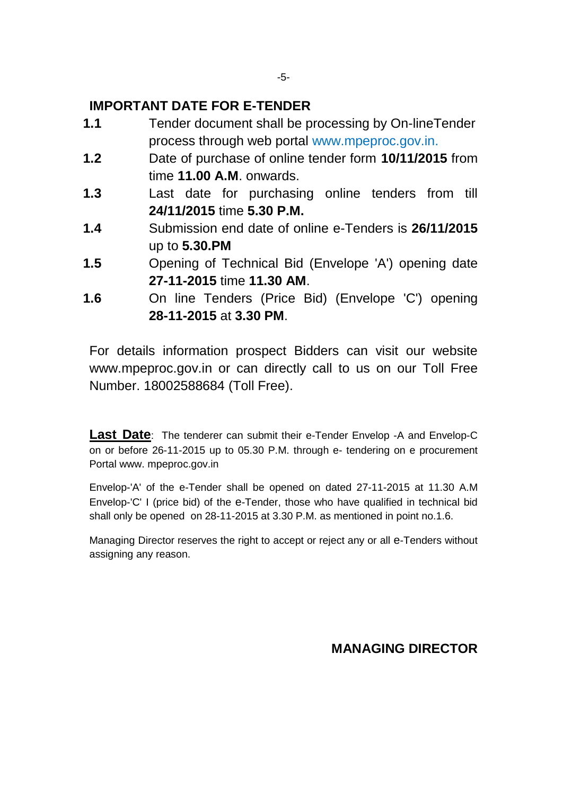## **IMPORTANT DATE FOR E-TENDER**

- **1.1** Tender document shall be processing by On-lineTender process through web portal www.mpeproc.gov.in.
- **1.2** Date of purchase of online tender form **10/11/2015** from time **11.00 A.M**. onwards.
- **1.3** Last date for purchasing online tenders from till **24/11/2015** time **5.30 P.M.**
- **1.4** Submission end date of online e-Tenders is **26/11/2015** up to **5.30.PM**
- **1.5** Opening of Technical Bid (Envelope 'A') opening date **27-11-2015** time **11.30 AM**.
- **1.6** On line Tenders (Price Bid) (Envelope 'C') opening **28-11-2015** at **3.30 PM**.

For details information prospect Bidders can visit our website www.mpeproc.gov.in or can directly call to us on our Toll Free Number. 18002588684 (Toll Free).

**Last Date**: The tenderer can submit their e-Tender Envelop -A and Envelop-C on or before 26-11-2015 up to 05.30 P.M. through e- tendering on e procurement Portal www. mpeproc.gov.in

Envelop-'A' of the e-Tender shall be opened on dated 27-11-2015 at 11.30 A.M Envelop-'C' I (price bid) of the e-Tender, those who have qualified in technical bid shall only be opened on 28-11-2015 at 3.30 P.M. as mentioned in point no.1.6.

Managing Director reserves the right to accept or reject any or all e-Tenders without assigning any reason.

 **MANAGING DIRECTOR**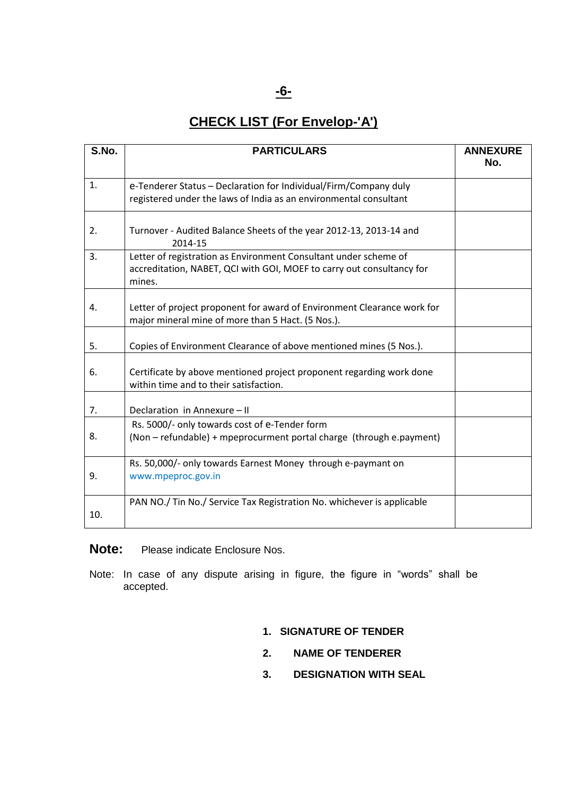#### **-6-**

# **CHECK LIST (For Envelop-'A')**

| S.No. | <b>PARTICULARS</b>                                                                                                                                  | <b>ANNEXURE</b><br>No. |
|-------|-----------------------------------------------------------------------------------------------------------------------------------------------------|------------------------|
| 1.    | e-Tenderer Status - Declaration for Individual/Firm/Company duly<br>registered under the laws of India as an environmental consultant               |                        |
| 2.    | Turnover - Audited Balance Sheets of the year 2012-13, 2013-14 and<br>2014-15                                                                       |                        |
| 3.    | Letter of registration as Environment Consultant under scheme of<br>accreditation, NABET, QCI with GOI, MOEF to carry out consultancy for<br>mines. |                        |
| 4.    | Letter of project proponent for award of Environment Clearance work for<br>major mineral mine of more than 5 Hact. (5 Nos.).                        |                        |
| 5.    | Copies of Environment Clearance of above mentioned mines (5 Nos.).                                                                                  |                        |
| 6.    | Certificate by above mentioned project proponent regarding work done<br>within time and to their satisfaction.                                      |                        |
| 7.    | Declaration in Annexure - II                                                                                                                        |                        |
| 8.    | Rs. 5000/- only towards cost of e-Tender form<br>(Non - refundable) + mpeprocurment portal charge (through e.payment)                               |                        |
| 9.    | Rs. 50,000/- only towards Earnest Money through e-paymant on<br>www.mpeproc.gov.in                                                                  |                        |
| 10.   | PAN NO./ Tin No./ Service Tax Registration No. whichever is applicable                                                                              |                        |

**Note:** Please indicate Enclosure Nos.

Note: In case of any dispute arising in figure, the figure in "words" shall be accepted.

- **1. SIGNATURE OF TENDER**
- **2. NAME OF TENDERER**
- **3. DESIGNATION WITH SEAL**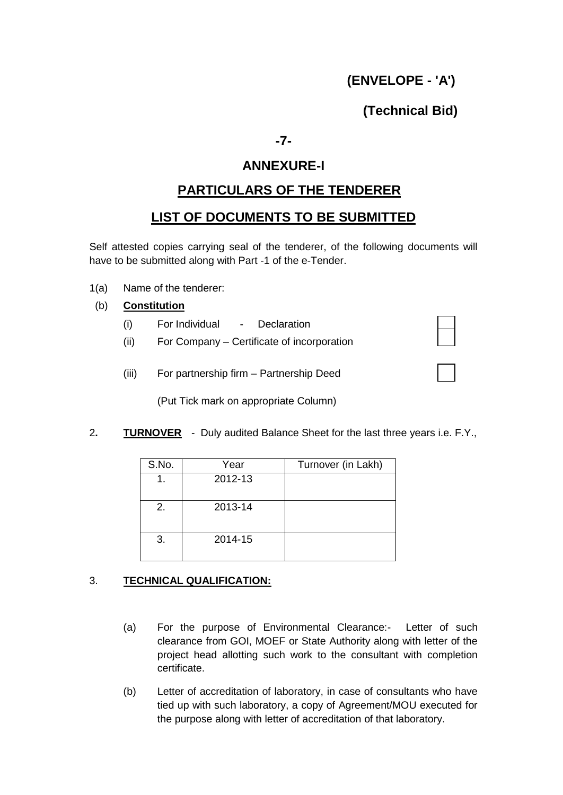# **(ENVELOPE - 'A')**

## **(Technical Bid)**

**-7-**

### **ANNEXURE-I**

## **PARTICULARS OF THE TENDERER**

### **LIST OF DOCUMENTS TO BE SUBMITTED**

Self attested copies carrying seal of the tenderer, of the following documents will have to be submitted along with Part -1 of the e-Tender.

- 1(a) Name of the tenderer:
- (b) **Constitution**
	- (i) For Individual Declaration
	- (ii) For Company Certificate of incorporation

| (iii) | For partnership firm - Partnership Deed |
|-------|-----------------------------------------|

(Put Tick mark on appropriate Column)

2**. TURNOVER** - Duly audited Balance Sheet for the last three years i.e. F.Y.,

| S.No. | Year    | Turnover (in Lakh) |
|-------|---------|--------------------|
|       | 2012-13 |                    |
|       |         |                    |
| 2.    | 2013-14 |                    |
|       |         |                    |
| 3.    | 2014-15 |                    |
|       |         |                    |

#### 3. **TECHNICAL QUALIFICATION:**

- (a) For the purpose of Environmental Clearance:- Letter of such clearance from GOI, MOEF or State Authority along with letter of the project head allotting such work to the consultant with completion certificate.
- (b) Letter of accreditation of laboratory, in case of consultants who have tied up with such laboratory, a copy of Agreement/MOU executed for the purpose along with letter of accreditation of that laboratory.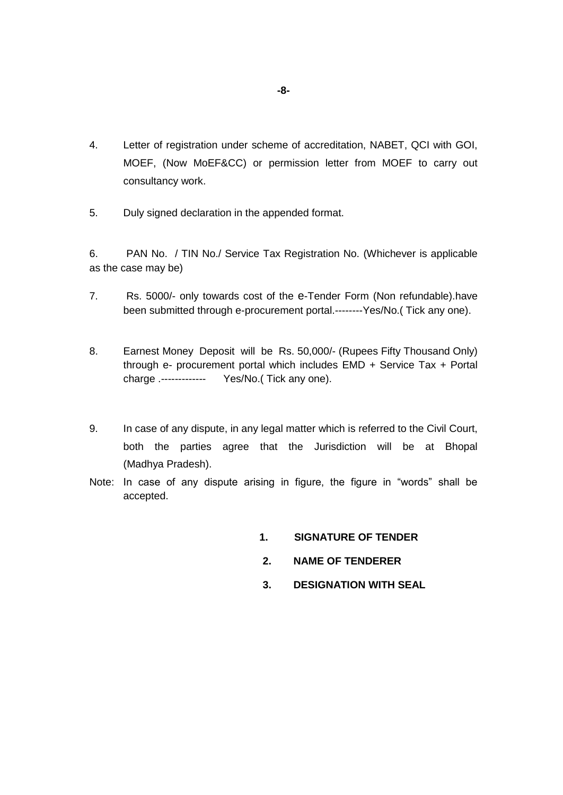- 4. Letter of registration under scheme of accreditation, NABET, QCI with GOI, MOEF, (Now MoEF&CC) or permission letter from MOEF to carry out consultancy work.
- 5. Duly signed declaration in the appended format.

6. PAN No. / TIN No./ Service Tax Registration No. (Whichever is applicable as the case may be)

- 7. Rs. 5000/- only towards cost of the e-Tender Form (Non refundable).have been submitted through e-procurement portal.--------Yes/No.( Tick any one).
- 8. Earnest Money Deposit will be Rs. 50,000/- (Rupees Fifty Thousand Only) through e- procurement portal which includes EMD + Service Tax + Portal charge .------------- Yes/No.( Tick any one).
- 9. In case of any dispute, in any legal matter which is referred to the Civil Court, both the parties agree that the Jurisdiction will be at Bhopal (Madhya Pradesh).
- Note: In case of any dispute arising in figure, the figure in "words" shall be accepted.
	- **1. SIGNATURE OF TENDER**
	- **2. NAME OF TENDERER**
	- **3. DESIGNATION WITH SEAL**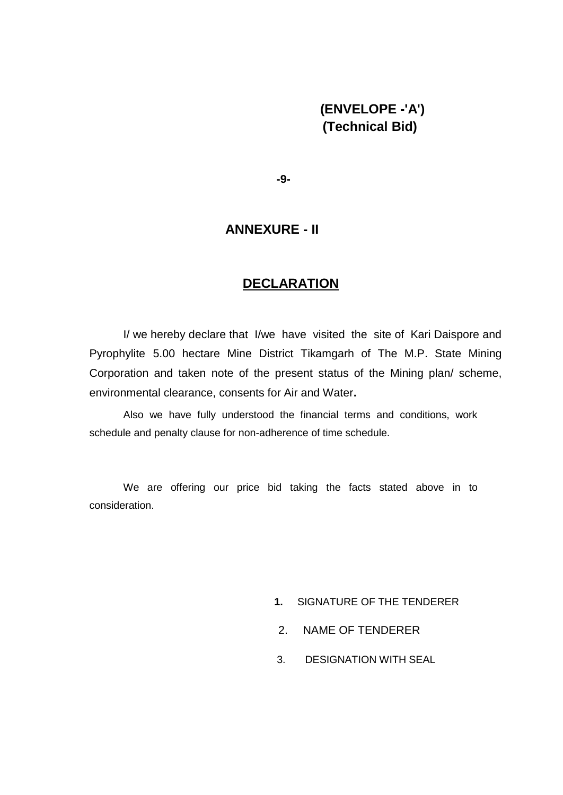## **(ENVELOPE -'A') (Technical Bid)**

**-9-**

#### **ANNEXURE - II**

### **DECLARATION**

I/ we hereby declare that I/we have visited the site of Kari Daispore and Pyrophylite 5.00 hectare Mine District Tikamgarh of The M.P. State Mining Corporation and taken note of the present status of the Mining plan/ scheme, environmental clearance, consents for Air and Water**.**

Also we have fully understood the financial terms and conditions, work schedule and penalty clause for non-adherence of time schedule.

We are offering our price bid taking the facts stated above in to consideration.

- **1.** SIGNATURE OF THE TENDERER
- 2. NAME OF TENDERER
- 3. DESIGNATION WITH SEAL